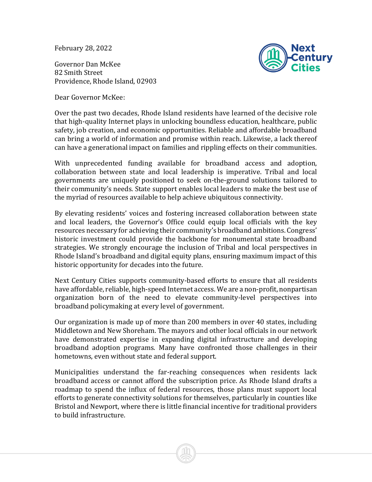February 28, 2022

Governor Dan McKee 82 Smith Street Providence, Rhode Island, 02903

Dear Governor McKee:



Over the past two decades, Rhode Island residents have learned of the decisive role that high-quality Internet plays in unlocking boundless education, healthcare, public safety, job creation, and economic opportunities. Reliable and affordable broadband can bring a world of information and promise within reach. Likewise, a lack thereof can have a generational impact on families and rippling effects on their communities.

With unprecedented funding available for broadband access and adoption, collaboration between state and local leadership is imperative. Tribal and local governments are uniquely positioned to seek on-the-ground solutions tailored to their community's needs. State support enables local leaders to make the best use of the myriad of resources available to help achieve ubiquitous connectivity.

By elevating residents' voices and fostering increased collaboration between state and local leaders, the Governor's Office could equip local officials with the key resources necessary for achieving their community's broadband ambitions. Congress' historic investment could provide the backbone for monumental state broadband strategies. We strongly encourage the inclusion of Tribal and local perspectives in Rhode Island's broadband and digital equity plans, ensuring maximum impact of this historic opportunity for decades into the future.

Next Century Cities supports community-based efforts to ensure that all residents have affordable, reliable, high-speed Internet access. We are a non-profit, nonpartisan organization born of the need to elevate community-level perspectives into broadband policymaking at every level of government.

Our organization is made up of more than 200 members in over 40 states, including Middletown and New Shoreham. The mayors and other local officials in our network have demonstrated expertise in expanding digital infrastructure and developing broadband adoption programs. Many have confronted those challenges in their hometowns, even without state and federal support.

Municipalities understand the far-reaching consequences when residents lack broadband access or cannot afford the subscription price. As Rhode Island drafts a roadmap to spend the influx of federal resources, those plans must support local efforts to generate connectivity solutions for themselves, particularly in counties like Bristol and Newport, where there is little financial incentive for traditional providers to build infrastructure.